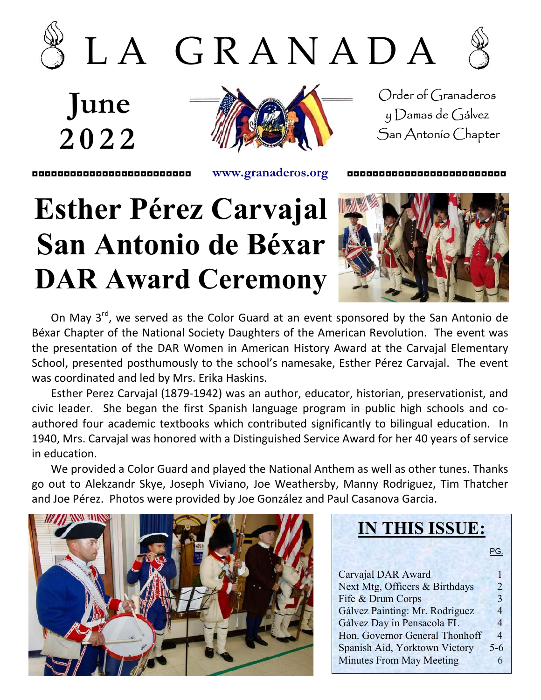





June 2 0 2 2



Order of Granaderos y Damas de Gálvez San Antonio Chapter

◘◘◘◘◘◘◘◘◘◘◘◘◘◘◘◘◘◘◘◘◘◘◘◘◘ www.granaderos.org ◘◘◘◘◘◘◘◘◘◘◘◘◘◘◘◘◘◘◘◘◘◘◘◘◘

### Esther Pérez Carvajal San Antonio de Béxar DAR Award Ceremony



On May 3<sup>rd</sup>, we served as the Color Guard at an event sponsored by the San Antonio de Béxar Chapter of the National Society Daughters of the American Revolution. The event was the presentation of the DAR Women in American History Award at the Carvajal Elementary School, presented posthumously to the school's namesake, Esther Pérez Carvajal. The event was coordinated and led by Mrs. Erika Haskins.

Esther Perez Carvajal (1879-1942) was an author, educator, historian, preservationist, and civic leader. She began the first Spanish language program in public high schools and coauthored four academic textbooks which contributed significantly to bilingual education. In 1940, Mrs. Carvajal was honored with a Distinguished Service Award for her 40 years of service in education.

We provided a Color Guard and played the National Anthem as well as other tunes. Thanks go out to Alekzandr Skye, Joseph Viviano, Joe Weathersby, Manny Rodriguez, Tim Thatcher and Joe Pérez. Photos were provided by Joe González and Paul Casanova Garcia.

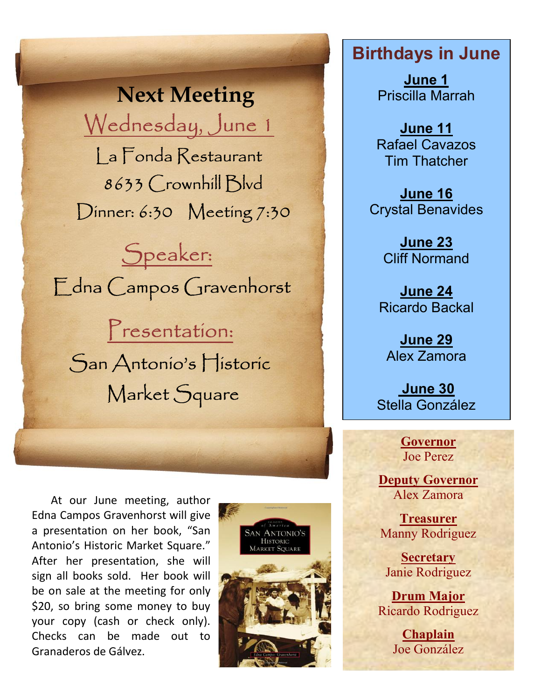Next Meeting Wednesday, June 1

 La Fonda Restaurant 8633 Crownhill Blvd Dinner: 6:30 Meeting 7:30

 Speaker: Edna Campos Gravenhorst

 Presentation: San Antonio's Historic Market Square

At our June meeting, author Edna Campos Gravenhorst will give a presentation on her book, "San Antonio's Historic Market Square." After her presentation, she will sign all books sold. Her book will be on sale at the meeting for only \$20, so bring some money to buy your copy (cash or check only). Checks can be made out to Granaderos de Gálvez.



### Birthdays in June

June 1 Priscilla Marrah

June 11 Rafael Cavazos Tim Thatcher

June 16 Crystal Benavides

> June 23 Cliff Normand

June 24 Ricardo Backal

June 29 Alex Zamora

 June 30 Stella González

> Governor Joe Perez

Deputy Governor Alex Zamora

Treasurer Manny Rodriguez

**Secretary** Janie Rodriguez

Drum Major Ricardo Rodriguez

> Chaplain Joe González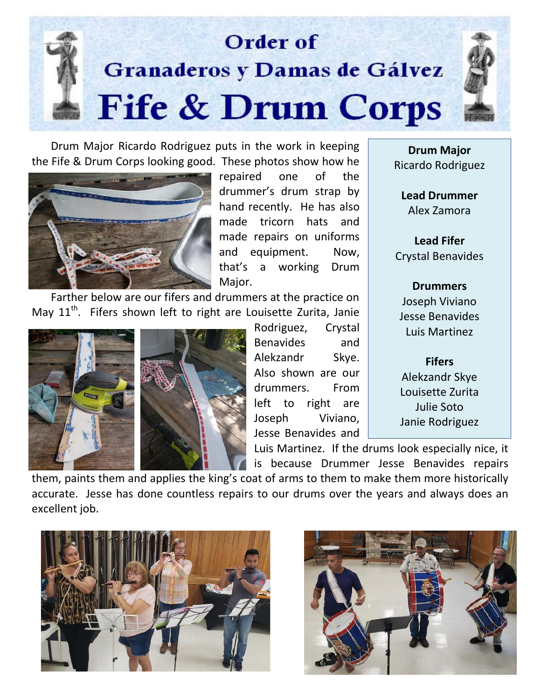

Drum Major Ricardo Rodriguez puts in the work in keeping the Fife & Drum Corps looking good. These photos show how he



repaired one of the drummer's drum strap by hand recently. He has also made tricorn hats and made repairs on uniforms and equipment. Now, that's a working Drum Major.

Farther below are our fifers and drummers at the practice on May 11<sup>th</sup>. Fifers shown left to right are Louisette Zurita, Janie



Rodriguez, Crystal Benavides and Alekzandr Skye. Also shown are our drummers. From left to right are Joseph Viviano, Jesse Benavides and

Luis Martinez. If the drums look especially nice, it is because Drummer Jesse Benavides repairs

them, paints them and applies the king's coat of arms to them to make them more historically accurate. Jesse has done countless repairs to our drums over the years and always does an excellent job.





Drum Major Ricardo Rodriguez

Lead Drummer Alex Zamora

Lead Fifer Crystal Benavides

Drummers Joseph Viviano Jesse Benavides Luis Martinez

Fifers Alekzandr Skye Louisette Zurita Julie Soto Janie Rodriguez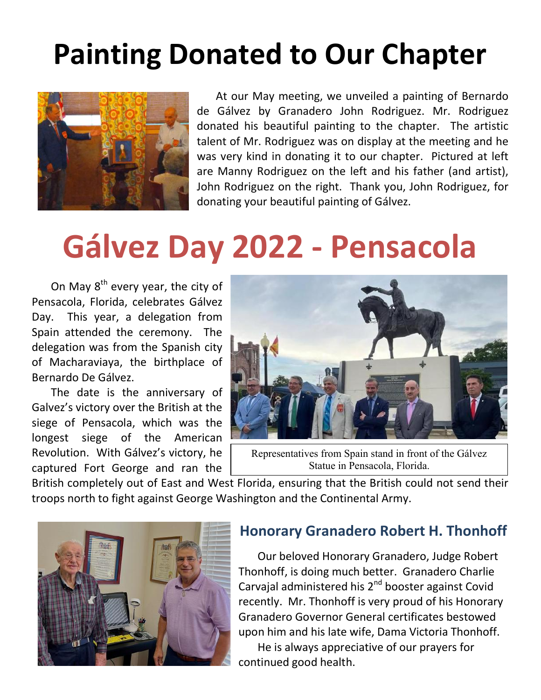### Painting Donated to Our Chapter



At our May meeting, we unveiled a painting of Bernardo de Gálvez by Granadero John Rodriguez. Mr. Rodriguez donated his beautiful painting to the chapter. The artistic talent of Mr. Rodriguez was on display at the meeting and he was very kind in donating it to our chapter. Pictured at left are Manny Rodriguez on the left and his father (and artist), John Rodriguez on the right. Thank you, John Rodriguez, for donating your beautiful painting of Gálvez.

## Gálvez Day 2022 - Pensacola

On May  $8^{th}$  every year, the city of Pensacola, Florida, celebrates Gálvez Day. This year, a delegation from Spain attended the ceremony. The delegation was from the Spanish city of Macharaviaya, the birthplace of Bernardo De Gálvez.

The date is the anniversary of Galvez's victory over the British at the siege of Pensacola, which was the longest siege of the American Revolution. With Gálvez's victory, he captured Fort George and ran the



Representatives from Spain stand in front of the Gálvez Statue in Pensacola, Florida.

British completely out of East and West Florida, ensuring that the British could not send their troops north to fight against George Washington and the Continental Army.

continued good health.



#### Honorary Granadero Robert H. Thonhoff

Our beloved Honorary Granadero, Judge Robert Thonhoff, is doing much better. Granadero Charlie Carvajal administered his 2<sup>nd</sup> booster against Covid recently. Mr. Thonhoff is very proud of his Honorary Granadero Governor General certificates bestowed upon him and his late wife, Dama Victoria Thonhoff. He is always appreciative of our prayers for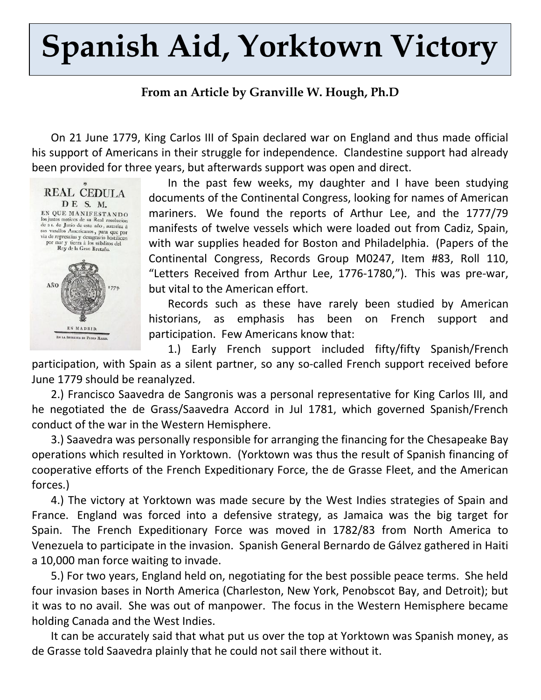# Spanish Aid, Yorktown Victory

#### From an Article by Granville W. Hough, Ph.D

On 21 June 1779, King Carlos III of Spain declared war on England and thus made official his support of Americans in their struggle for independence. Clandestine support had already been provided for three years, but afterwards support was open and direct.



In the past few weeks, my daughter and I have been studying documents of the Continental Congress, looking for names of American mariners. We found the reports of Arthur Lee, and the 1777/79 manifests of twelve vessels which were loaded out from Cadiz, Spain, with war supplies headed for Boston and Philadelphia. (Papers of the Continental Congress, Records Group M0247, Item #83, Roll 110, "Letters Received from Arthur Lee, 1776-1780,"). This was pre-war, but vital to the American effort.

Records such as these have rarely been studied by American historians, as emphasis has been on French support and participation. Few Americans know that:

1.) Early French support included fifty/fifty Spanish/French participation, with Spain as a silent partner, so any so-called French support received before June 1779 should be reanalyzed.

2.) Francisco Saavedra de Sangronis was a personal representative for King Carlos III, and he negotiated the de Grass/Saavedra Accord in Jul 1781, which governed Spanish/French conduct of the war in the Western Hemisphere.

3.) Saavedra was personally responsible for arranging the financing for the Chesapeake Bay operations which resulted in Yorktown. (Yorktown was thus the result of Spanish financing of cooperative efforts of the French Expeditionary Force, the de Grasse Fleet, and the American forces.)

4.) The victory at Yorktown was made secure by the West Indies strategies of Spain and France. England was forced into a defensive strategy, as Jamaica was the big target for Spain. The French Expeditionary Force was moved in 1782/83 from North America to Venezuela to participate in the invasion. Spanish General Bernardo de Gálvez gathered in Haiti a 10,000 man force waiting to invade.

5.) For two years, England held on, negotiating for the best possible peace terms. She held four invasion bases in North America (Charleston, New York, Penobscot Bay, and Detroit); but it was to no avail. She was out of manpower. The focus in the Western Hemisphere became holding Canada and the West Indies.

It can be accurately said that what put us over the top at Yorktown was Spanish money, as de Grasse told Saavedra plainly that he could not sail there without it.